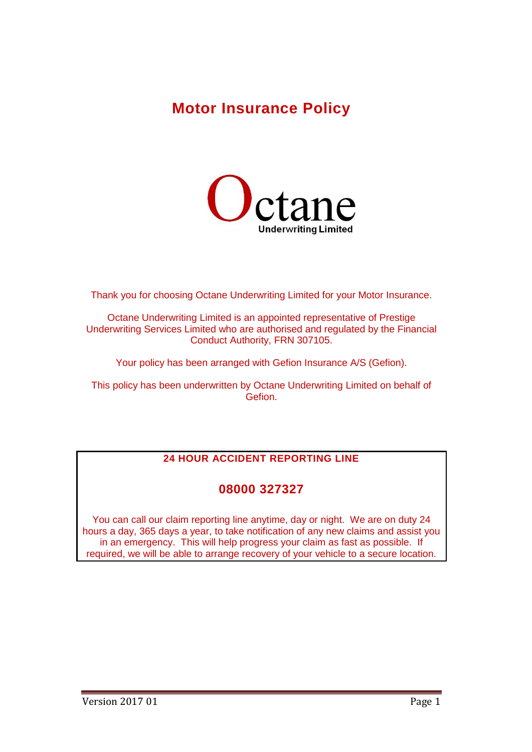# **Motor Insurance Policy**



Thank you for choosing Octane Underwriting Limited for your Motor Insurance.

Octane Underwriting Limited is an appointed representative of Prestige Underwriting Services Limited who are authorised and regulated by the Financial Conduct Authority, FRN 307105.

Your policy has been arranged with Gefion Insurance A/S (Gefion).

This policy has been underwritten by Octane Underwriting Limited on behalf of Gefion.

## **24 HOUR ACCIDENT REPORTING LINE**

## **08000 327327**

You can call our claim reporting line anytime, day or night. We are on duty 24 hours a day, 365 days a year, to take notification of any new claims and assist you in an emergency. This will help progress your claim as fast as possible. If required, we will be able to arrange recovery of your vehicle to a secure location.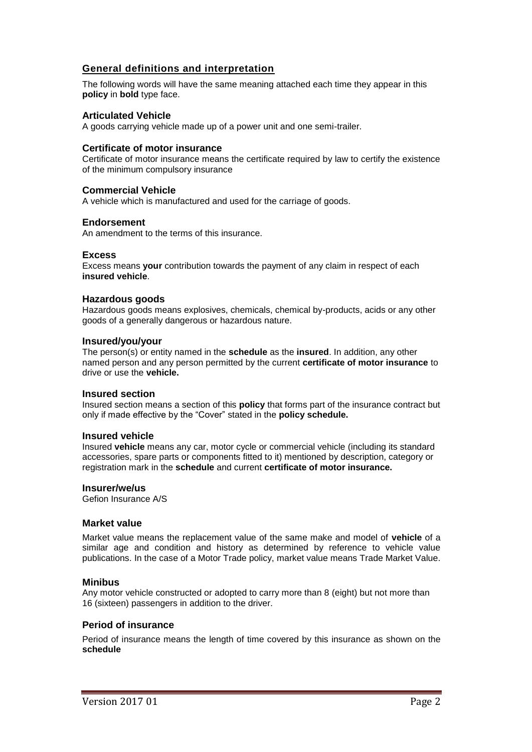## **General definitions and interpretation**

The following words will have the same meaning attached each time they appear in this **policy** in **bold** type face.

#### **Articulated Vehicle**

A goods carrying vehicle made up of a power unit and one semi-trailer.

#### **Certificate of motor insurance**

Certificate of motor insurance means the certificate required by law to certify the existence of the minimum compulsory insurance

#### **Commercial Vehicle**

A vehicle which is manufactured and used for the carriage of goods.

#### **Endorsement**

An amendment to the terms of this insurance.

#### **Excess**

Excess means **your** contribution towards the payment of any claim in respect of each **insured vehicle**.

#### **Hazardous goods**

Hazardous goods means explosives, chemicals, chemical by-products, acids or any other goods of a generally dangerous or hazardous nature.

#### **Insured/you/your**

The person(s) or entity named in the **schedule** as the **insured**. In addition, any other named person and any person permitted by the current **certificate of motor insurance** to drive or use the **vehicle.**

#### **Insured section**

Insured section means a section of this **policy** that forms part of the insurance contract but only if made effective by the "Cover" stated in the **policy schedule.**

#### **Insured vehicle**

Insured **vehicle** means any car, motor cycle or commercial vehicle (including its standard accessories, spare parts or components fitted to it) mentioned by description, category or registration mark in the **schedule** and current **certificate of motor insurance.**

#### **Insurer/we/us**

Gefion Insurance A/S

#### **Market value**

Market value means the replacement value of the same make and model of **vehicle** of a similar age and condition and history as determined by reference to vehicle value publications. In the case of a Motor Trade policy, market value means Trade Market Value.

#### **Minibus**

Any motor vehicle constructed or adopted to carry more than 8 (eight) but not more than 16 (sixteen) passengers in addition to the driver.

#### **Period of insurance**

Period of insurance means the length of time covered by this insurance as shown on the **schedule**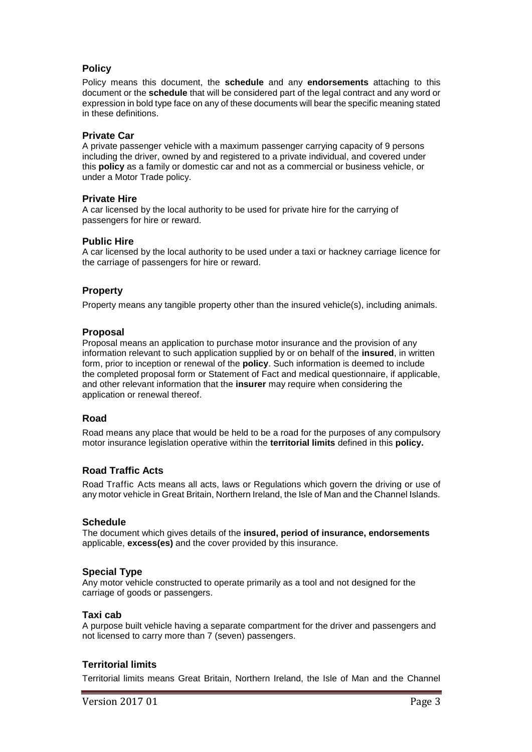## **Policy**

Policy means this document, the **schedule** and any **endorsements** attaching to this document or the **schedule** that will be considered part of the legal contract and any word or expression in bold type face on any of these documents will bear the specific meaning stated in these definitions.

#### **Private Car**

A private passenger vehicle with a maximum passenger carrying capacity of 9 persons including the driver, owned by and registered to a private individual, and covered under this **policy** as a family or domestic car and not as a commercial or business vehicle, or under a Motor Trade policy.

#### **Private Hire**

A car licensed by the local authority to be used for private hire for the carrying of passengers for hire or reward.

## **Public Hire**

A car licensed by the local authority to be used under a taxi or hackney carriage licence for the carriage of passengers for hire or reward.

## **Property**

Property means any tangible property other than the insured vehicle(s), including animals.

## **Proposal**

Proposal means an application to purchase motor insurance and the provision of any information relevant to such application supplied by or on behalf of the **insured**, in written form, prior to inception or renewal of the **policy**. Such information is deemed to include the completed proposal form or Statement of Fact and medical questionnaire, if applicable, and other relevant information that the **insurer** may require when considering the application or renewal thereof.

## **Road**

Road means any place that would be held to be a road for the purposes of any compulsory motor insurance legislation operative within the **territorial limits** defined in this **policy.**

## **Road Traffic Acts**

Road Traffic Acts means all acts, laws or Regulations which govern the driving or use of any motor vehicle in Great Britain, Northern Ireland, the Isle of Man and the Channel Islands.

#### **Schedule**

The document which gives details of the **insured, period of insurance, endorsements**  applicable, **excess(es)** and the cover provided by this insurance.

## **Special Type**

Any motor vehicle constructed to operate primarily as a tool and not designed for the carriage of goods or passengers.

#### **Taxi cab**

A purpose built vehicle having a separate compartment for the driver and passengers and not licensed to carry more than 7 (seven) passengers.

## **Territorial limits**

Territorial limits means Great Britain, Northern Ireland, the Isle of Man and the Channel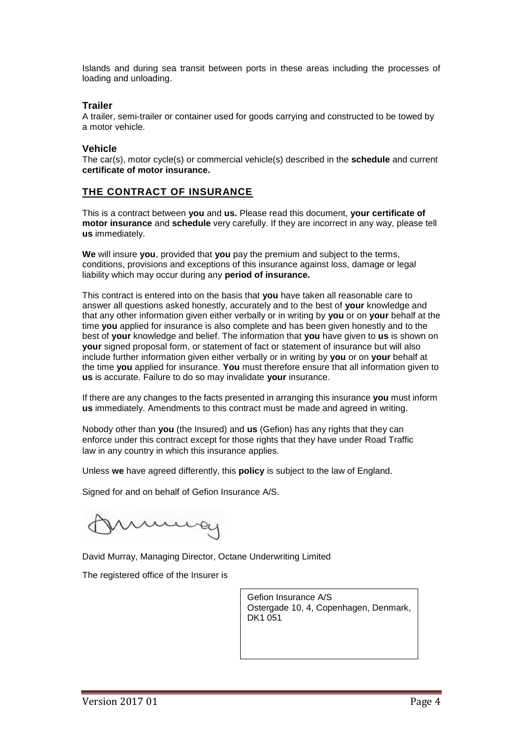Islands and during sea transit between ports in these areas including the processes of loading and unloading.

## **Trailer**

A trailer, semi-trailer or container used for goods carrying and constructed to be towed by a motor vehicle.

## **Vehicle**

The car(s), motor cycle(s) or commercial vehicle(s) described in the **schedule** and current **certificate of motor insurance.**

## **THE CONTRACT OF INSURANCE**

This is a contract between **you** and **us.** Please read this document, **your certificate of motor insurance** and **schedule** very carefully. If they are incorrect in any way, please tell **us** immediately.

**We** will insure **you**, provided that **you** pay the premium and subject to the terms, conditions, provisions and exceptions of this insurance against loss, damage or legal liability which may occur during any **period of insurance.** 

This contract is entered into on the basis that **you** have taken all reasonable care to answer all questions asked honestly, accurately and to the best of **your** knowledge and that any other information given either verbally or in writing by **you** or on **your** behalf at the time **you** applied for insurance is also complete and has been given honestly and to the best of **your** knowledge and belief. The information that **you** have given to **us** is shown on **your** signed proposal form, or statement of fact or statement of insurance but will also include further information given either verbally or in writing by **you** or on **your** behalf at the time **you** applied for insurance. **You** must therefore ensure that all information given to **us** is accurate. Failure to do so may invalidate **your** insurance.

If there are any changes to the facts presented in arranging this insurance **you** must inform **us** immediately. Amendments to this contract must be made and agreed in writing.

Nobody other than **you** (the Insured) and **us** (Gefion) has any rights that they can enforce under this contract except for those rights that they have under Road Traffic law in any country in which this insurance applies.

Unless **we** have agreed differently, this **policy** is subject to the law of England.

Signed for and on behalf of Gefion Insurance A/S.

David Murray, Managing Director, Octane Underwriting Limited

The registered office of the Insurer is

Gefion Insurance A/S Ostergade 10, 4, Copenhagen, Denmark, DK1 051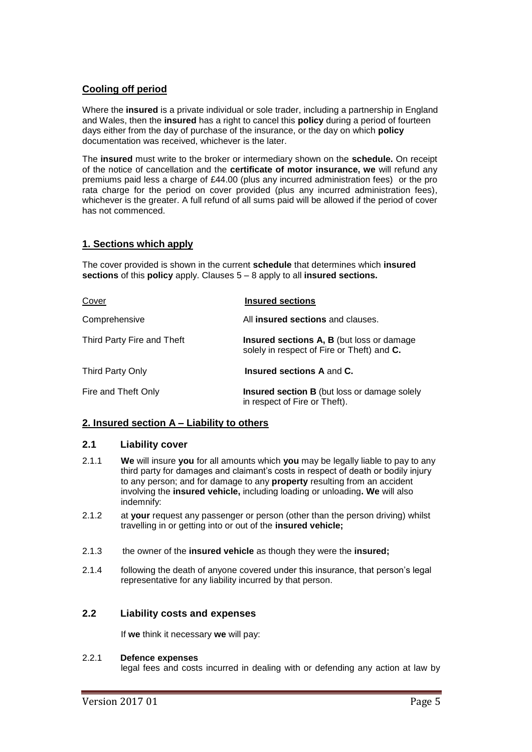## **Cooling off period**

Where the **insured** is a private individual or sole trader, including a partnership in England and Wales, then the **insured** has a right to cancel this **policy** during a period of fourteen days either from the day of purchase of the insurance, or the day on which **policy**  documentation was received, whichever is the later.

The **insured** must write to the broker or intermediary shown on the **schedule.** On receipt of the notice of cancellation and the **certificate of motor insurance, we** will refund any premiums paid less a charge of £44.00 (plus any incurred administration fees) or the pro rata charge for the period on cover provided (plus any incurred administration fees), whichever is the greater. A full refund of all sums paid will be allowed if the period of cover has not commenced.

## **1. Sections which apply**

The cover provided is shown in the current **schedule** that determines which **insured sections** of this **policy** apply. Clauses 5 – 8 apply to all **insured sections.**

| Cover                      | <b>Insured sections</b>                                                                         |
|----------------------------|-------------------------------------------------------------------------------------------------|
| Comprehensive              | All insured sections and clauses.                                                               |
| Third Party Fire and Theft | <b>Insured sections A, B (but loss or damage)</b><br>solely in respect of Fire or Theft) and C. |
| Third Party Only           | <b>Insured sections A and C.</b>                                                                |
| Fire and Theft Only        | <b>Insured section B</b> (but loss or damage solely<br>in respect of Fire or Theft).            |

## **2. Insured section A – Liability to others**

## **2.1 Liability cover**

- 2.1.1 **We** will insure **you** for all amounts which **you** may be legally liable to pay to any third party for damages and claimant's costs in respect of death or bodily injury to any person; and for damage to any **property** resulting from an accident involving the **insured vehicle,** including loading or unloading**. We** will also indemnify:
- 2.1.2 at **your** request any passenger or person (other than the person driving) whilst travelling in or getting into or out of the **insured vehicle;**
- 2.1.3 the owner of the **insured vehicle** as though they were the **insured;**
- 2.1.4 following the death of anyone covered under this insurance, that person's legal representative for any liability incurred by that person.

## **2.2 Liability costs and expenses**

If **we** think it necessary **we** will pay:

#### 2.2.1 **Defence expenses**

legal fees and costs incurred in dealing with or defending any action at law by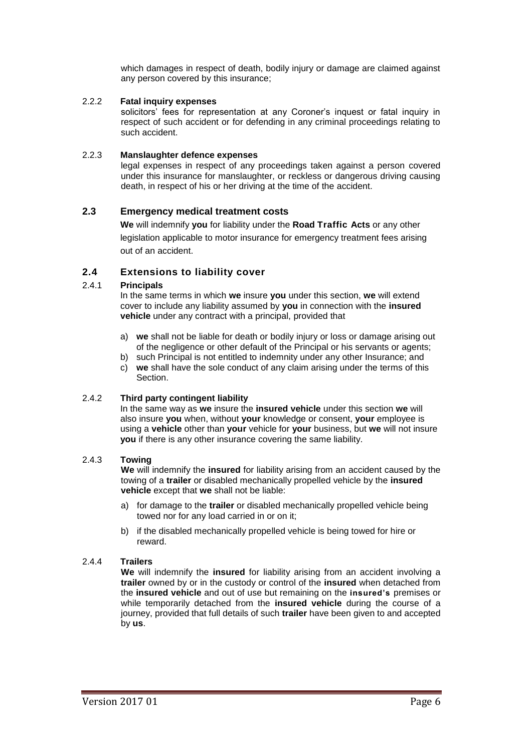which damages in respect of death, bodily injury or damage are claimed against any person covered by this insurance;

#### 2.2.2 **Fatal inquiry expenses**

solicitors' fees for representation at any Coroner's inquest or fatal inquiry in respect of such accident or for defending in any criminal proceedings relating to such accident.

#### 2.2.3 **Manslaughter defence expenses**

legal expenses in respect of any proceedings taken against a person covered under this insurance for manslaughter, or reckless or dangerous driving causing death, in respect of his or her driving at the time of the accident.

## **2.3 Emergency medical treatment costs**

**We** will indemnify **you** for liability under the **Road Traffic Acts** or any other legislation applicable to motor insurance for emergency treatment fees arising out of an accident.

## **2.4 Extensions to liability cover**

#### 2.4.1 **Principals**

In the same terms in which **we** insure **you** under this section, **we** will extend cover to include any liability assumed by **you** in connection with the **insured vehicle** under any contract with a principal, provided that

- a) **we** shall not be liable for death or bodily injury or loss or damage arising out of the negligence or other default of the Principal or his servants or agents;
- b) such Principal is not entitled to indemnity under any other Insurance; and
- c) **we** shall have the sole conduct of any claim arising under the terms of this Section.

## 2.4.2 **Third party contingent liability**

In the same way as **we** insure the **insured vehicle** under this section **we** will also insure **you** when, without **your** knowledge or consent, **your** employee is using a **vehicle** other than **your** vehicle for **your** business, but **we** will not insure **you** if there is any other insurance covering the same liability.

#### 2.4.3 **Towing**

**We** will indemnify the **insured** for liability arising from an accident caused by the towing of a **trailer** or disabled mechanically propelled vehicle by the **insured vehicle** except that **we** shall not be liable:

- a) for damage to the **trailer** or disabled mechanically propelled vehicle being towed nor for any load carried in or on it;
- b) if the disabled mechanically propelled vehicle is being towed for hire or reward.

#### 2.4.4 **Trailers**

**We** will indemnify the **insured** for liability arising from an accident involving a **trailer** owned by or in the custody or control of the **insured** when detached from the **insured vehicle** and out of use but remaining on the **insured's** premises or while temporarily detached from the **insured vehicle** during the course of a journey, provided that full details of such **trailer** have been given to and accepted by **us**.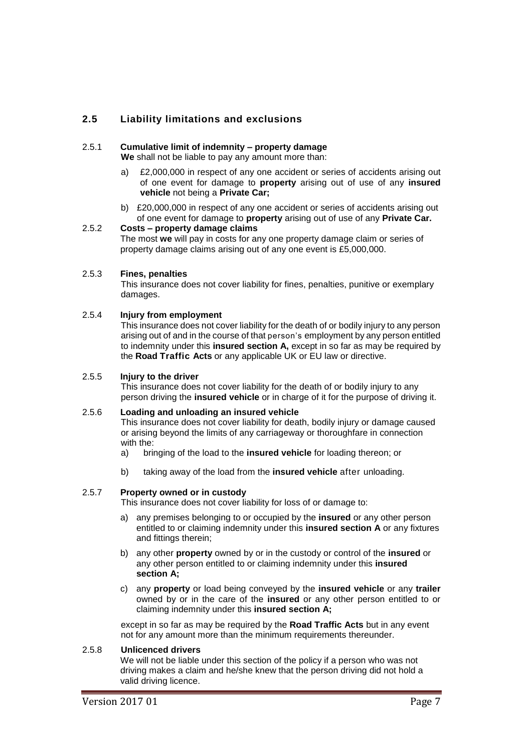## **2.5 Liability limitations and exclusions**

#### 2.5.1 **Cumulative limit of indemnity – property damage**

**We** shall not be liable to pay any amount more than:

- a) £2,000,000 in respect of any one accident or series of accidents arising out of one event for damage to **property** arising out of use of any **insured vehicle** not being a **Private Car;**
- b) £20,000,000 in respect of any one accident or series of accidents arising out of one event for damage to **property** arising out of use of any **Private Car.**

## 2.5.2 **Costs – property damage claims**

The most **we** will pay in costs for any one property damage claim or series of property damage claims arising out of any one event is £5,000,000.

#### 2.5.3 **Fines, penalties**

This insurance does not cover liability for fines, penalties, punitive or exemplary damages.

#### 2.5.4 **Injury from employment**

This insurance does not cover liability for the death of or bodily injury to any person arising out of and in the course of that person's employment by any person entitled to indemnity under this **insured section A,** except in so far as may be required by the **Road Traffic Acts** or any applicable UK or EU law or directive.

#### 2.5.5 **Injury to the driver**

This insurance does not cover liability for the death of or bodily injury to any person driving the **insured vehicle** or in charge of it for the purpose of driving it.

#### 2.5.6 **Loading and unloading an insured vehicle**

This insurance does not cover liability for death, bodily injury or damage caused or arising beyond the limits of any carriageway or thoroughfare in connection with the:

- a) bringing of the load to the **insured vehicle** for loading thereon; or
- b) taking away of the load from the **insured vehicle** after unloading.

#### 2.5.7 **Property owned or in custody**

This insurance does not cover liability for loss of or damage to:

- a) any premises belonging to or occupied by the **insured** or any other person entitled to or claiming indemnity under this **insured section A** or any fixtures and fittings therein;
- b) any other **property** owned by or in the custody or control of the **insured** or any other person entitled to or claiming indemnity under this **insured section A;**
- c) any **property** or load being conveyed by the **insured vehicle** or any **trailer**  owned by or in the care of the **insured** or any other person entitled to or claiming indemnity under this **insured section A;**

except in so far as may be required by the **Road Traffic Acts** but in any event not for any amount more than the minimum requirements thereunder.

### 2.5.8 **Unlicenced drivers**

We will not be liable under this section of the policy if a person who was not driving makes a claim and he/she knew that the person driving did not hold a valid driving licence.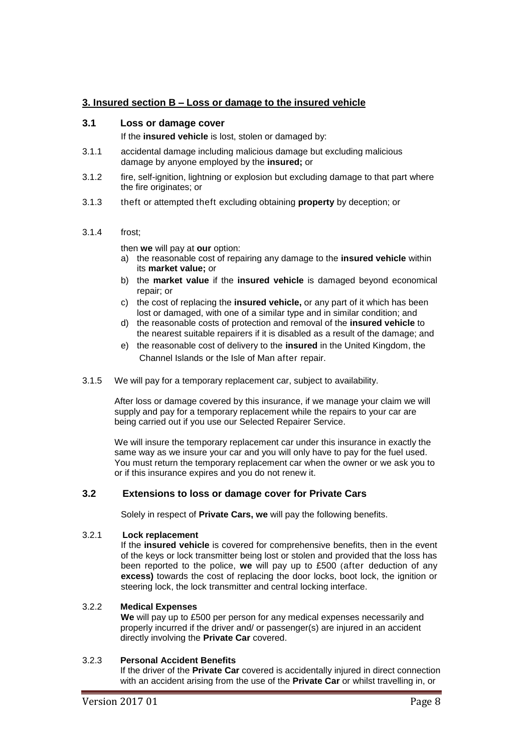## **3. Insured section B – Loss or damage to the insured vehicle**

## **3.1 Loss or damage cover**

If the **insured vehicle** is lost, stolen or damaged by:

- 3.1.1 accidental damage including malicious damage but excluding malicious damage by anyone employed by the **insured;** or
- 3.1.2 fire, self-ignition, lightning or explosion but excluding damage to that part where the fire originates; or
- 3.1.3 theft or attempted theft excluding obtaining **property** by deception; or

## 3.1.4 frost;

then **we** will pay at **our** option:

- a) the reasonable cost of repairing any damage to the **insured vehicle** within its **market value;** or
- b) the **market value** if the **insured vehicle** is damaged beyond economical repair; or
- c) the cost of replacing the **insured vehicle,** or any part of it which has been lost or damaged, with one of a similar type and in similar condition; and
- d) the reasonable costs of protection and removal of the **insured vehicle** to the nearest suitable repairers if it is disabled as a result of the damage; and
- e) the reasonable cost of delivery to the **insured** in the United Kingdom, the Channel Islands or the Isle of Man after repair.
- 3.1.5 We will pay for a temporary replacement car, subject to availability.

After loss or damage covered by this insurance, if we manage your claim we will supply and pay for a temporary replacement while the repairs to your car are being carried out if you use our Selected Repairer Service.

We will insure the temporary replacement car under this insurance in exactly the same way as we insure your car and you will only have to pay for the fuel used. You must return the temporary replacement car when the owner or we ask you to or if this insurance expires and you do not renew it.

## **3.2 Extensions to loss or damage cover for Private Cars**

Solely in respect of **Private Cars, we** will pay the following benefits.

#### 3.2.1 **Lock replacement**

If the **insured vehicle** is covered for comprehensive benefits, then in the event of the keys or lock transmitter being lost or stolen and provided that the loss has been reported to the police, **we** will pay up to £500 (after deduction of any **excess)** towards the cost of replacing the door locks, boot lock, the ignition or steering lock, the lock transmitter and central locking interface.

#### 3.2.2 **Medical Expenses**

**We** will pay up to £500 per person for any medical expenses necessarily and properly incurred if the driver and/ or passenger(s) are injured in an accident directly involving the **Private Car** covered.

## 3.2.3 **Personal Accident Benefits**

If the driver of the **Private Car** covered is accidentally injured in direct connection with an accident arising from the use of the **Private Car** or whilst travelling in, or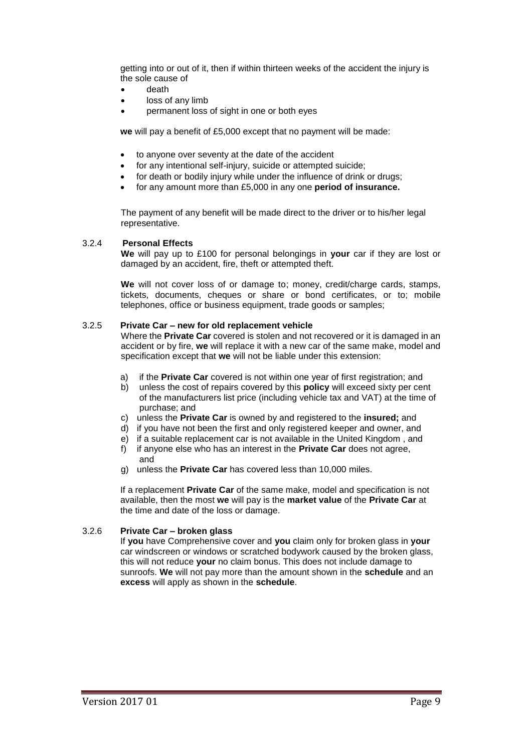getting into or out of it, then if within thirteen weeks of the accident the injury is the sole cause of

- death
- loss of any limb
- permanent loss of sight in one or both eyes

**we** will pay a benefit of £5,000 except that no payment will be made:

- to anyone over seventy at the date of the accident
- for any intentional self-injury, suicide or attempted suicide;
- for death or bodily injury while under the influence of drink or drugs;
- for any amount more than £5,000 in any one **period of insurance.**

The payment of any benefit will be made direct to the driver or to his/her legal representative.

#### 3.2.4 **Personal Effects**

**We** will pay up to £100 for personal belongings in **your** car if they are lost or damaged by an accident, fire, theft or attempted theft.

**We** will not cover loss of or damage to; money, credit/charge cards, stamps, tickets, documents, cheques or share or bond certificates, or to; mobile telephones, office or business equipment, trade goods or samples;

#### 3.2.5 **Private Car – new for old replacement vehicle**

Where the **Private Car** covered is stolen and not recovered or it is damaged in an accident or by fire, **we** will replace it with a new car of the same make, model and specification except that **we** will not be liable under this extension:

- a) if the **Private Car** covered is not within one year of first registration; and
- b) unless the cost of repairs covered by this **policy** will exceed sixty per cent of the manufacturers list price (including vehicle tax and VAT) at the time of purchase; and
- c) unless the **Private Car** is owned by and registered to the **insured;** and
- d) if you have not been the first and only registered keeper and owner, and
- e) if a suitable replacement car is not available in the United Kingdom , and
- f) if anyone else who has an interest in the **Private Car** does not agree, and
- g) unless the **Private Car** has covered less than 10,000 miles.

If a replacement **Private Car** of the same make, model and specification is not available, then the most **we** will pay is the **market value** of the **Private Car** at the time and date of the loss or damage.

#### 3.2.6 **Private Car – broken glass**

If **you** have Comprehensive cover and **you** claim only for broken glass in **your** car windscreen or windows or scratched bodywork caused by the broken glass, this will not reduce **your** no claim bonus. This does not include damage to sunroofs. **We** will not pay more than the amount shown in the **schedule** and an **excess** will apply as shown in the **schedule**.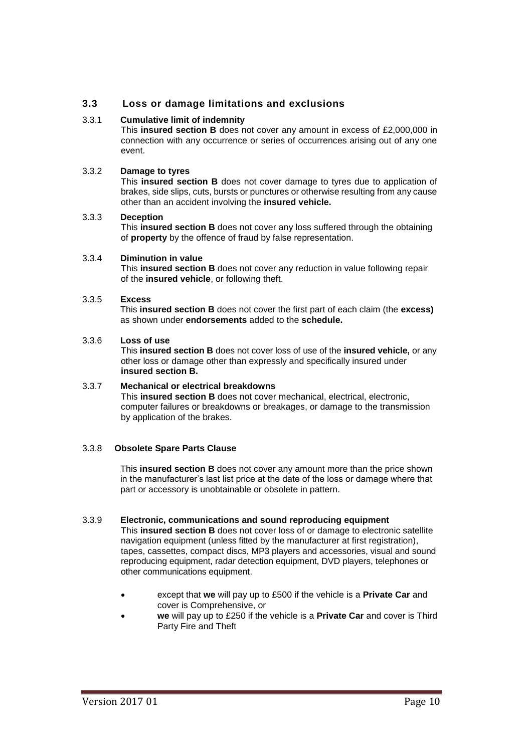## **3.3 Loss or damage limitations and exclusions**

#### 3.3.1 **Cumulative limit of indemnity**

This **insured section B** does not cover any amount in excess of £2,000,000 in connection with any occurrence or series of occurrences arising out of any one event.

## 3.3.2 **Damage to tyres**

This **insured section B** does not cover damage to tyres due to application of brakes, side slips, cuts, bursts or punctures or otherwise resulting from any cause other than an accident involving the **insured vehicle.**

#### 3.3.3 **Deception**

This **insured section B** does not cover any loss suffered through the obtaining of **property** by the offence of fraud by false representation.

#### 3.3.4 **Diminution in value**

This **insured section B** does not cover any reduction in value following repair of the **insured vehicle**, or following theft.

#### 3.3.5 **Excess**

This **insured section B** does not cover the first part of each claim (the **excess)**  as shown under **endorsements** added to the **schedule.**

### 3.3.6 **Loss of use**

This **insured section B** does not cover loss of use of the **insured vehicle,** or any other loss or damage other than expressly and specifically insured under **insured section B.**

#### 3.3.7 **Mechanical or electrical breakdowns**

This **insured section B** does not cover mechanical, electrical, electronic, computer failures or breakdowns or breakages, or damage to the transmission by application of the brakes.

#### 3.3.8 **Obsolete Spare Parts Clause**

This **insured section B** does not cover any amount more than the price shown in the manufacturer's last list price at the date of the loss or damage where that part or accessory is unobtainable or obsolete in pattern.

#### 3.3.9 **Electronic, communications and sound reproducing equipment**

This **insured section B** does not cover loss of or damage to electronic satellite navigation equipment (unless fitted by the manufacturer at first registration), tapes, cassettes, compact discs, MP3 players and accessories, visual and sound reproducing equipment, radar detection equipment, DVD players, telephones or other communications equipment.

- except that **we** will pay up to £500 if the vehicle is a **Private Car** and cover is Comprehensive, or
- **we** will pay up to £250 if the vehicle is a **Private Car** and cover is Third Party Fire and Theft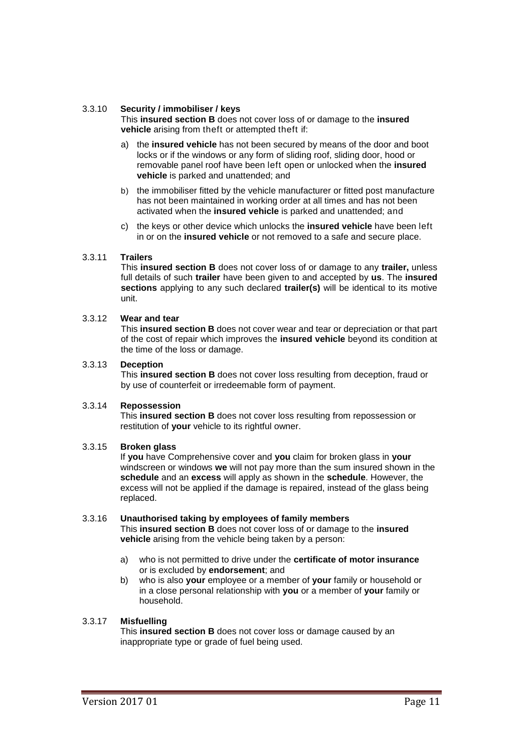#### 3.3.10 **Security / immobiliser / keys**

This **insured section B** does not cover loss of or damage to the **insured vehicle** arising from theft or attempted theft if:

- a) the **insured vehicle** has not been secured by means of the door and boot locks or if the windows or any form of sliding roof, sliding door, hood or removable panel roof have been left open or unlocked when the **insured vehicle** is parked and unattended; and
- b) the immobiliser fitted by the vehicle manufacturer or fitted post manufacture has not been maintained in working order at all times and has not been activated when the **insured vehicle** is parked and unattended; and
- c) the keys or other device which unlocks the **insured vehicle** have been left in or on the **insured vehicle** or not removed to a safe and secure place.

#### 3.3.11 **Trailers**

This **insured section B** does not cover loss of or damage to any **trailer,** unless full details of such **trailer** have been given to and accepted by **us**. The **insured sections** applying to any such declared **trailer(s)** will be identical to its motive unit.

#### 3.3.12 **Wear and tear**

This **insured section B** does not cover wear and tear or depreciation or that part of the cost of repair which improves the **insured vehicle** beyond its condition at the time of the loss or damage.

#### 3.3.13 **Deception**

This **insured section B** does not cover loss resulting from deception, fraud or by use of counterfeit or irredeemable form of payment.

#### 3.3.14 **Repossession**

This **insured section B** does not cover loss resulting from repossession or restitution of **your** vehicle to its rightful owner.

#### 3.3.15 **Broken glass**

If **you** have Comprehensive cover and **you** claim for broken glass in **your** windscreen or windows **we** will not pay more than the sum insured shown in the **schedule** and an **excess** will apply as shown in the **schedule**. However, the excess will not be applied if the damage is repaired, instead of the glass being replaced.

#### 3.3.16 **Unauthorised taking by employees of family members**

This **insured section B** does not cover loss of or damage to the **insured vehicle** arising from the vehicle being taken by a person:

- a) who is not permitted to drive under the **certificate of motor insurance** or is excluded by **endorsement**; and
- b) who is also **your** employee or a member of **your** family or household or in a close personal relationship with **you** or a member of **your** family or household.

## 3.3.17 **Misfuelling**

This **insured section B** does not cover loss or damage caused by an inappropriate type or grade of fuel being used.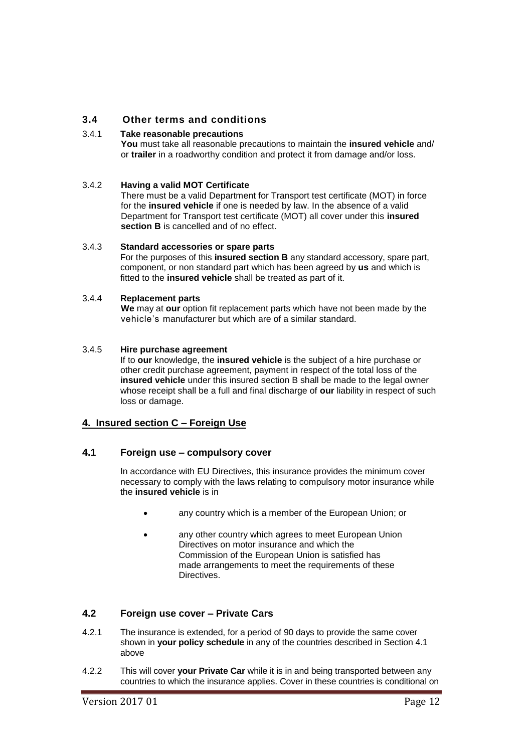## **3.4 Other terms and conditions**

#### 3.4.1 **Take reasonable precautions**

**You** must take all reasonable precautions to maintain the **insured vehicle** and/ or **trailer** in a roadworthy condition and protect it from damage and/or loss.

#### 3.4.2 **Having a valid MOT Certificate**

There must be a valid Department for Transport test certificate (MOT) in force for the **insured vehicle** if one is needed by law. In the absence of a valid Department for Transport test certificate (MOT) all cover under this **insured section B** is cancelled and of no effect.

#### 3.4.3 **Standard accessories or spare parts**

For the purposes of this **insured section B** any standard accessory, spare part, component, or non standard part which has been agreed by **us** and which is fitted to the **insured vehicle** shall be treated as part of it.

#### 3.4.4 **Replacement parts**

**We** may at **our** option fit replacement parts which have not been made by the vehicle's manufacturer but which are of a similar standard.

#### 3.4.5 **Hire purchase agreement**

If to **our** knowledge, the **insured vehicle** is the subject of a hire purchase or other credit purchase agreement, payment in respect of the total loss of the **insured vehicle** under this insured section B shall be made to the legal owner whose receipt shall be a full and final discharge of **our** liability in respect of such loss or damage.

#### **4. Insured section C – Foreign Use**

#### **4.1 Foreign use – compulsory cover**

In accordance with EU Directives, this insurance provides the minimum cover necessary to comply with the laws relating to compulsory motor insurance while the **insured vehicle** is in

- any country which is a member of the European Union; or
- any other country which agrees to meet European Union Directives on motor insurance and which the Commission of the European Union is satisfied has made arrangements to meet the requirements of these Directives.

## **4.2 Foreign use cover – Private Cars**

- 4.2.1 The insurance is extended, for a period of 90 days to provide the same cover shown in **your policy schedule** in any of the countries described in Section 4.1 above
- 4.2.2 This will cover **your Private Car** while it is in and being transported between any countries to which the insurance applies. Cover in these countries is conditional on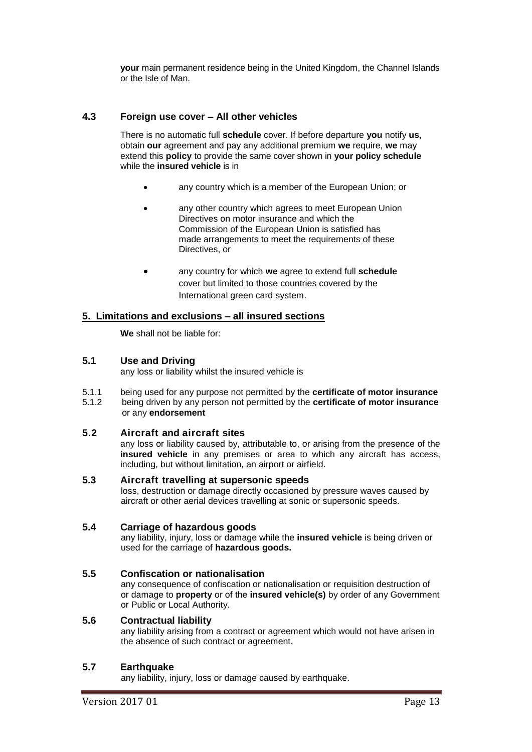**your** main permanent residence being in the United Kingdom, the Channel Islands or the Isle of Man.

## **4.3 Foreign use cover – All other vehicles**

There is no automatic full **schedule** cover. If before departure **you** notify **us**, obtain **our** agreement and pay any additional premium **we** require, **we** may extend this **policy** to provide the same cover shown in **your policy schedule** while the **insured vehicle** is in

- any country which is a member of the European Union; or
- any other country which agrees to meet European Union Directives on motor insurance and which the Commission of the European Union is satisfied has made arrangements to meet the requirements of these Directives, or
- any country for which **we** agree to extend full **schedule** cover but limited to those countries covered by the International green card system.

## **5. Limitations and exclusions – all insured sections**

**We** shall not be liable for:

## **5.1 Use and Driving**

any loss or liability whilst the insured vehicle is

5.1.1 being used for any purpose not permitted by the **certificate of motor insurance** 5.1.2 being driven by any person not permitted by the **certificate of motor insurance** or any **endorsement**

## **5.2 Aircraft and aircraft sites**

any loss or liability caused by, attributable to, or arising from the presence of the **insured vehicle** in any premises or area to which any aircraft has access, including, but without limitation, an airport or airfield.

**5.3 Aircraft travelling at supersonic speeds** loss, destruction or damage directly occasioned by pressure waves caused by aircraft or other aerial devices travelling at sonic or supersonic speeds.

#### **5.4 Carriage of hazardous goods**

any liability, injury, loss or damage while the **insured vehicle** is being driven or used for the carriage of **hazardous goods.**

## **5.5 Confiscation or nationalisation**

any consequence of confiscation or nationalisation or requisition destruction of or damage to **property** or of the **insured vehicle(s)** by order of any Government or Public or Local Authority.

## **5.6 Contractual liability**

any liability arising from a contract or agreement which would not have arisen in the absence of such contract or agreement.

#### **5.7 Earthquake**

any liability, injury, loss or damage caused by earthquake.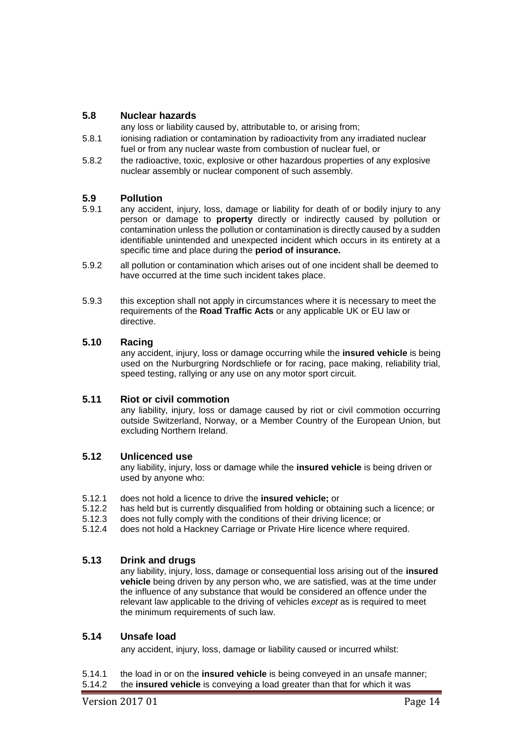## **5.8 Nuclear hazards**

any loss or liability caused by, attributable to, or arising from;

- 5.8.1 ionising radiation or contamination by radioactivity from any irradiated nuclear fuel or from any nuclear waste from combustion of nuclear fuel, or
- 5.8.2 the radioactive, toxic, explosive or other hazardous properties of any explosive nuclear assembly or nuclear component of such assembly.

## **5.9 Pollution**

- 5.9.1 any accident, injury, loss, damage or liability for death of or bodily injury to any person or damage to **property** directly or indirectly caused by pollution or contamination unless the pollution or contamination is directly caused by a sudden identifiable unintended and unexpected incident which occurs in its entirety at a specific time and place during the **period of insurance.**
- 5.9.2 all pollution or contamination which arises out of one incident shall be deemed to have occurred at the time such incident takes place.
- 5.9.3 this exception shall not apply in circumstances where it is necessary to meet the requirements of the **Road Traffic Acts** or any applicable UK or EU law or directive.

## **5.10 Racing**

any accident, injury, loss or damage occurring while the **insured vehicle** is being used on the Nurburgring Nordschliefe or for racing, pace making, reliability trial, speed testing, rallying or any use on any motor sport circuit.

## **5.11 Riot or civil commotion**

any liability, injury, loss or damage caused by riot or civil commotion occurring outside Switzerland, Norway, or a Member Country of the European Union, but excluding Northern Ireland.

### **5.12 Unlicenced use**

any liability, injury, loss or damage while the **insured vehicle** is being driven or used by anyone who:

- 5.12.1 does not hold a licence to drive the **insured vehicle;** or
- 5.12.2 has held but is currently disqualified from holding or obtaining such a licence; or
- 5.12.3 does not fully comply with the conditions of their driving licence; or
- 5.12.4 does not hold a Hackney Carriage or Private Hire licence where required.

## **5.13 Drink and drugs**

any liability, injury, loss, damage or consequential loss arising out of the **insured vehicle** being driven by any person who, we are satisfied, was at the time under the influence of any substance that would be considered an offence under the relevant law applicable to the driving of vehicles *except* as is required to meet the minimum requirements of such law.

## **5.14 Unsafe load**

any accident, injury, loss, damage or liability caused or incurred whilst:

- 5.14.1 the load in or on the **insured vehicle** is being conveyed in an unsafe manner;
- 5.14.2 the **insured vehicle** is conveying a load greater than that for which it was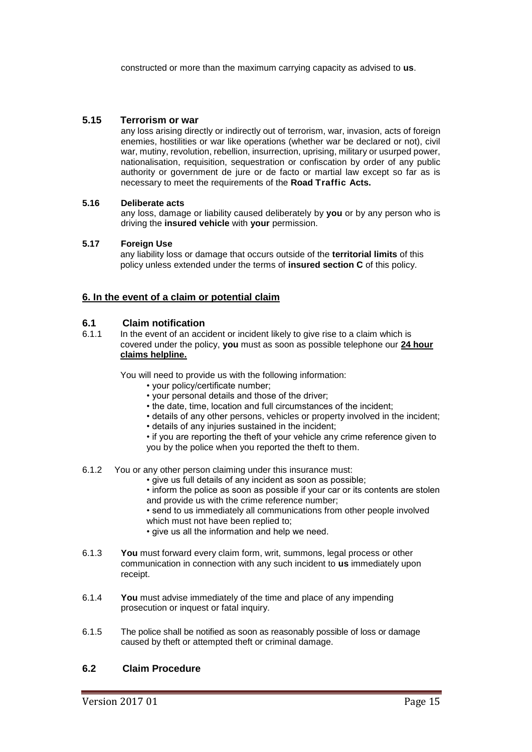constructed or more than the maximum carrying capacity as advised to **us**.

## **5.15 Terrorism or war**

any loss arising directly or indirectly out of terrorism, war, invasion, acts of foreign enemies, hostilities or war like operations (whether war be declared or not), civil war, mutiny, revolution, rebellion, insurrection, uprising, military or usurped power, nationalisation, requisition, sequestration or confiscation by order of any public authority or government de jure or de facto or martial law except so far as is necessary to meet the requirements of the **Road Traffic Acts.**

#### **5.16 Deliberate acts**

any loss, damage or liability caused deliberately by **you** or by any person who is driving the **insured vehicle** with **your** permission.

#### **5.17 Foreign Use**

any liability loss or damage that occurs outside of the **territorial limits** of this policy unless extended under the terms of **insured section C** of this policy.

## **6. In the event of a claim or potential claim**

## **6.1 Claim notification**

6.1.1 In the event of an accident or incident likely to give rise to a claim which is covered under the policy, **you** must as soon as possible telephone our **24 hour claims helpline.**

You will need to provide us with the following information:

- your policy/certificate number;
- your personal details and those of the driver;
- the date, time, location and full circumstances of the incident;
- details of any other persons, vehicles or property involved in the incident;
- details of any injuries sustained in the incident;
- if you are reporting the theft of your vehicle any crime reference given to you by the police when you reported the theft to them.
- 6.1.2 You or any other person claiming under this insurance must:
	- give us full details of any incident as soon as possible;
	- inform the police as soon as possible if your car or its contents are stolen and provide us with the crime reference number;
	- send to us immediately all communications from other people involved which must not have been replied to;
	- give us all the information and help we need.
- 6.1.3 **You** must forward every claim form, writ, summons, legal process or other communication in connection with any such incident to **us** immediately upon receipt.
- 6.1.4 **You** must advise immediately of the time and place of any impending prosecution or inquest or fatal inquiry.
- 6.1.5 The police shall be notified as soon as reasonably possible of loss or damage caused by theft or attempted theft or criminal damage.

## **6.2 Claim Procedure**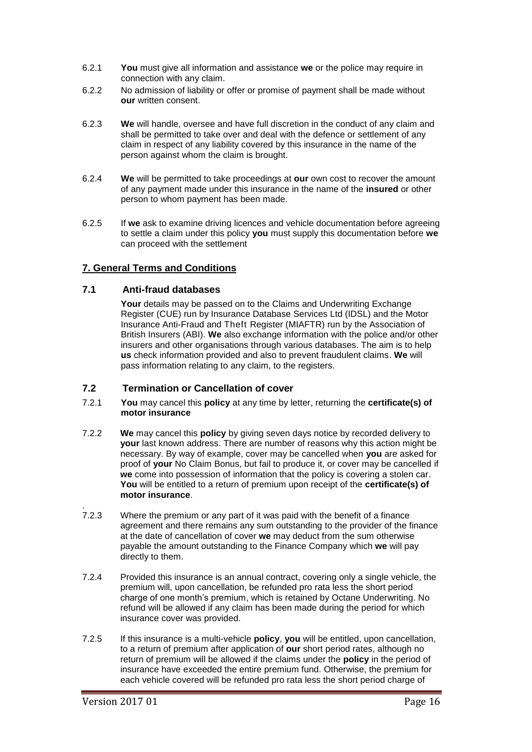- 6.2.1 **You** must give all information and assistance **we** or the police may require in connection with any claim.
- 6.2.2 No admission of liability or offer or promise of payment shall be made without **our** written consent.
- 6.2.3 **We** will handle, oversee and have full discretion in the conduct of any claim and shall be permitted to take over and deal with the defence or settlement of any claim in respect of any liability covered by this insurance in the name of the person against whom the claim is brought.
- 6.2.4 **We** will be permitted to take proceedings at **our** own cost to recover the amount of any payment made under this insurance in the name of the **insured** or other person to whom payment has been made.
- 6.2.5 If **we** ask to examine driving licences and vehicle documentation before agreeing to settle a claim under this policy **you** must supply this documentation before **we**  can proceed with the settlement

## **7. General Terms and Conditions**

## **7.1 Anti-fraud databases**

Your details may be passed on to the Claims and Underwriting Exchange Register (CUE) run by Insurance Database Services Ltd (IDSL) and the Motor Insurance Anti-Fraud and Theft Register (MIAFTR) run by the Association of British Insurers (ABI). **We** also exchange information with the police and/or other insurers and other organisations through various databases. The aim is to help **us** check information provided and also to prevent fraudulent claims. **We** will pass information relating to any claim, to the registers.

## **7.2 Termination or Cancellation of cover**

- 7.2.1 **You** may cancel this **policy** at any time by letter, returning the **certificate(s) of motor insurance**
- 7.2.2 **We** may cancel this **policy** by giving seven days notice by recorded delivery to **your** last known address. There are number of reasons why this action might be necessary. By way of example, cover may be cancelled when **you** are asked for proof of **your** No Claim Bonus, but fail to produce it, or cover may be cancelled if **we** come into possession of information that the policy is covering a stolen car. **You** will be entitled to a return of premium upon receipt of the **certificate(s) of motor insurance**.
- 7.2.3 Where the premium or any part of it was paid with the benefit of a finance agreement and there remains any sum outstanding to the provider of the finance at the date of cancellation of cover **we** may deduct from the sum otherwise payable the amount outstanding to the Finance Company which **we** will pay directly to them.
- 7.2.4 Provided this insurance is an annual contract, covering only a single vehicle, the premium will, upon cancellation, be refunded pro rata less the short period charge of one month's premium, which is retained by Octane Underwriting. No refund will be allowed if any claim has been made during the period for which insurance cover was provided.
- 7.2.5 If this insurance is a multi-vehicle **policy**, **you** will be entitled, upon cancellation, to a return of premium after application of **our** short period rates, although no return of premium will be allowed if the claims under the **policy** in the period of insurance have exceeded the entire premium fund. Otherwise, the premium for each vehicle covered will be refunded pro rata less the short period charge of

.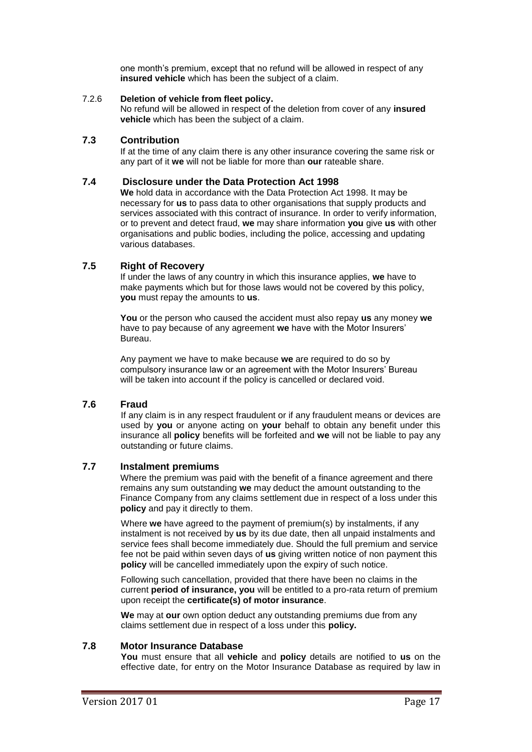one month's premium, except that no refund will be allowed in respect of any **insured vehicle** which has been the subject of a claim.

#### 7.2.6 **Deletion of vehicle from fleet policy.**

No refund will be allowed in respect of the deletion from cover of any **insured vehicle** which has been the subject of a claim.

#### **7.3 Contribution**

If at the time of any claim there is any other insurance covering the same risk or any part of it **we** will not be liable for more than **our** rateable share.

### **7.4 Disclosure under the Data Protection Act 1998**

**We** hold data in accordance with the Data Protection Act 1998. It may be necessary for **us** to pass data to other organisations that supply products and services associated with this contract of insurance. In order to verify information, or to prevent and detect fraud, **we** may share information **you** give **us** with other organisations and public bodies, including the police, accessing and updating various databases.

## **7.5 Right of Recovery**

If under the laws of any country in which this insurance applies, **we** have to make payments which but for those laws would not be covered by this policy, **you** must repay the amounts to **us**.

**You** or the person who caused the accident must also repay **us** any money **we**  have to pay because of any agreement **we** have with the Motor Insurers' Bureau.

Any payment we have to make because **we** are required to do so by compulsory insurance law or an agreement with the Motor Insurers' Bureau will be taken into account if the policy is cancelled or declared void.

## **7.6 Fraud**

If any claim is in any respect fraudulent or if any fraudulent means or devices are used by **you** or anyone acting on **your** behalf to obtain any benefit under this insurance all **policy** benefits will be forfeited and **we** will not be liable to pay any outstanding or future claims.

## **7.7 Instalment premiums**

Where the premium was paid with the benefit of a finance agreement and there remains any sum outstanding **we** may deduct the amount outstanding to the Finance Company from any claims settlement due in respect of a loss under this **policy** and pay it directly to them.

Where **we** have agreed to the payment of premium(s) by instalments, if any instalment is not received by **us** by its due date, then all unpaid instalments and service fees shall become immediately due. Should the full premium and service fee not be paid within seven days of **us** giving written notice of non payment this **policy** will be cancelled immediately upon the expiry of such notice.

Following such cancellation, provided that there have been no claims in the current **period of insurance, you** will be entitled to a pro-rata return of premium upon receipt the **certificate(s) of motor insurance**.

**We** may at **our** own option deduct any outstanding premiums due from any claims settlement due in respect of a loss under this **policy.**

## **7.8 Motor Insurance Database**

**You** must ensure that all **vehicle** and **policy** details are notified to **us** on the effective date, for entry on the Motor Insurance Database as required by law in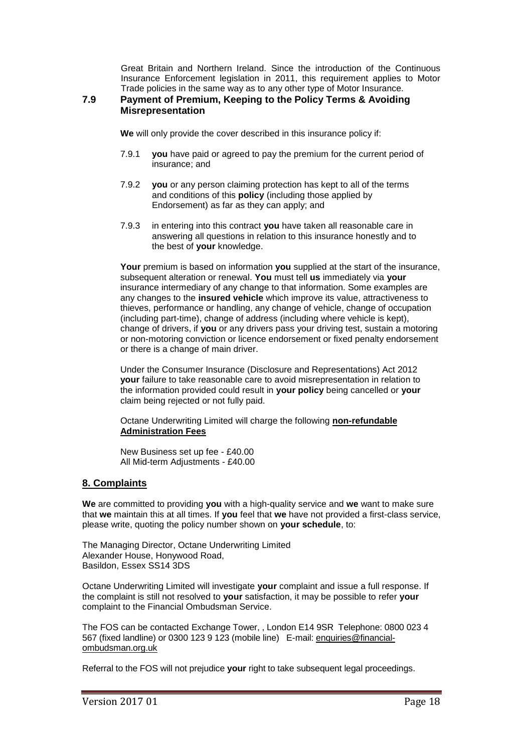Great Britain and Northern Ireland. Since the introduction of the Continuous Insurance Enforcement legislation in 2011, this requirement applies to Motor Trade policies in the same way as to any other type of Motor Insurance.

## **7.9 Payment of Premium, Keeping to the Policy Terms & Avoiding Misrepresentation**

**We** will only provide the cover described in this insurance policy if:

- 7.9.1 **you** have paid or agreed to pay the premium for the current period of insurance; and
- 7.9.2 **you** or any person claiming protection has kept to all of the terms and conditions of this **policy** (including those applied by Endorsement) as far as they can apply; and
- 7.9.3 in entering into this contract **you** have taken all reasonable care in answering all questions in relation to this insurance honestly and to the best of **your** knowledge.

**Your** premium is based on information **you** supplied at the start of the insurance, subsequent alteration or renewal. **You** must tell **us** immediately via **your** insurance intermediary of any change to that information. Some examples are any changes to the **insured vehicle** which improve its value, attractiveness to thieves, performance or handling, any change of vehicle, change of occupation (including part-time), change of address (including where vehicle is kept), change of drivers, if **you** or any drivers pass your driving test, sustain a motoring or non-motoring conviction or licence endorsement or fixed penalty endorsement or there is a change of main driver.

Under the Consumer Insurance (Disclosure and Representations) Act 2012 **your** failure to take reasonable care to avoid misrepresentation in relation to the information provided could result in **your policy** being cancelled or **your** claim being rejected or not fully paid.

Octane Underwriting Limited will charge the following **non-refundable Administration Fees**

New Business set up fee - £40.00 All Mid-term Adjustments - £40.00

## **8. Complaints**

**We** are committed to providing **you** with a high-quality service and **we** want to make sure that **we** maintain this at all times. If **you** feel that **we** have not provided a first-class service, please write, quoting the policy number shown on **your schedule**, to:

The Managing Director, Octane Underwriting Limited Alexander House, Honywood Road, Basildon, Essex SS14 3DS

Octane Underwriting Limited will investigate **your** complaint and issue a full response. If the complaint is still not resolved to **your** satisfaction, it may be possible to refer **your** complaint to the Financial Ombudsman Service.

The FOS can be contacted Exchange Tower, , London E14 9SR Telephone: 0800 023 4 567 (fixed landline) or 0300 123 9 123 (mobile line) E-mail: [enquiries@financial](mailto:enquiries@financial-ombudsman.org.uk)[ombudsman.org.uk](mailto:enquiries@financial-ombudsman.org.uk)

Referral to the FOS will not prejudice **your** right to take subsequent legal proceedings.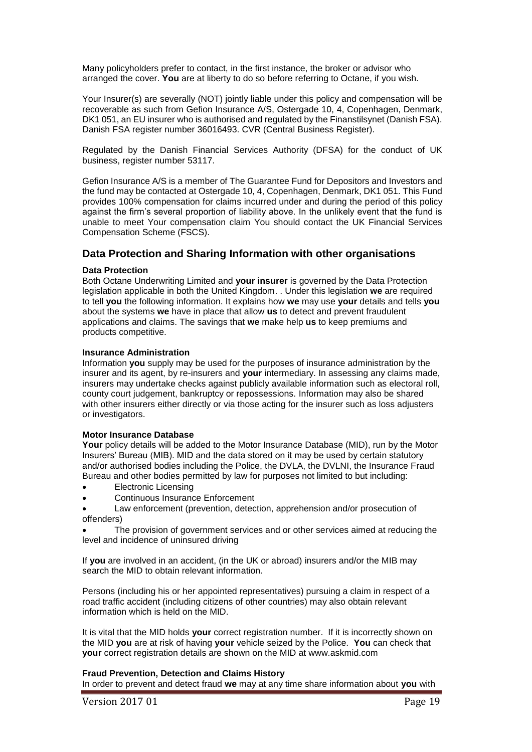Many policyholders prefer to contact, in the first instance, the broker or advisor who arranged the cover. **You** are at liberty to do so before referring to Octane, if you wish.

Your Insurer(s) are severally (NOT) jointly liable under this policy and compensation will be recoverable as such from Gefion Insurance A/S, Ostergade 10, 4, Copenhagen, Denmark, DK1 051, an EU insurer who is authorised and regulated by the Finanstilsynet (Danish FSA). Danish FSA register number 36016493. CVR (Central Business Register).

Regulated by the Danish Financial Services Authority (DFSA) for the conduct of UK business, register number 53117.

Gefion Insurance A/S is a member of The Guarantee Fund for Depositors and Investors and the fund may be contacted at Ostergade 10, 4, Copenhagen, Denmark, DK1 051. This Fund provides 100% compensation for claims incurred under and during the period of this policy against the firm's several proportion of liability above. In the unlikely event that the fund is unable to meet Your compensation claim You should contact the UK Financial Services Compensation Scheme (FSCS).

## **Data Protection and Sharing Information with other organisations**

#### **Data Protection**

Both Octane Underwriting Limited and **your insurer** is governed by the Data Protection legislation applicable in both the United Kingdom. . Under this legislation **we** are required to tell **you** the following information. It explains how **we** may use **your** details and tells **you** about the systems **we** have in place that allow **us** to detect and prevent fraudulent applications and claims. The savings that **we** make help **us** to keep premiums and products competitive.

#### **Insurance Administration**

Information **you** supply may be used for the purposes of insurance administration by the insurer and its agent, by re-insurers and **your** intermediary. In assessing any claims made, insurers may undertake checks against publicly available information such as electoral roll, county court judgement, bankruptcy or repossessions. Information may also be shared with other insurers either directly or via those acting for the insurer such as loss adjusters or investigators.

#### **Motor Insurance Database**

**Your** policy details will be added to the Motor Insurance Database (MID), run by the Motor Insurers' Bureau (MIB). MID and the data stored on it may be used by certain statutory and/or authorised bodies including the Police, the DVLA, the DVLNI, the Insurance Fraud Bureau and other bodies permitted by law for purposes not limited to but including:

- Electronic Licensing
- Continuous Insurance Enforcement
- Law enforcement (prevention, detection, apprehension and/or prosecution of offenders)

 The provision of government services and or other services aimed at reducing the level and incidence of uninsured driving

If **you** are involved in an accident, (in the UK or abroad) insurers and/or the MIB may search the MID to obtain relevant information.

Persons (including his or her appointed representatives) pursuing a claim in respect of a road traffic accident (including citizens of other countries) may also obtain relevant information which is held on the MID.

It is vital that the MID holds **your** correct registration number. If it is incorrectly shown on the MID **you** are at risk of having **your** vehicle seized by the Police. **You** can check that **your** correct registration details are shown on the MID at www.askmid.com

#### **Fraud Prevention, Detection and Claims History**

In order to prevent and detect fraud **we** may at any time share information about **you** with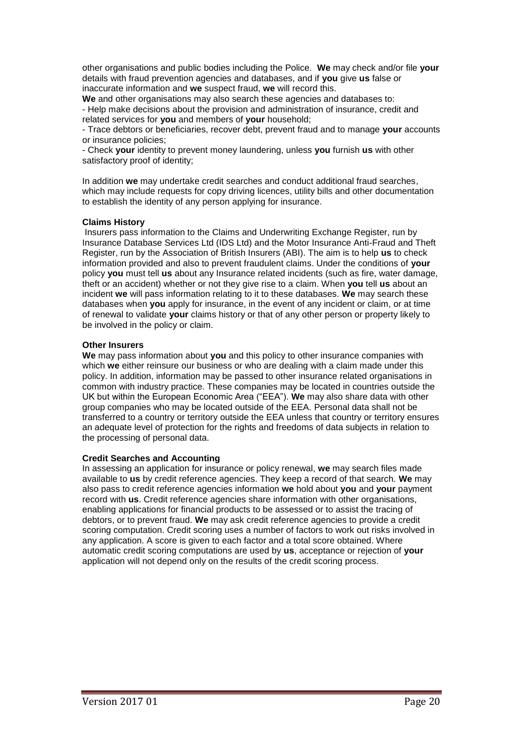other organisations and public bodies including the Police. **We** may check and/or file **your** details with fraud prevention agencies and databases, and if **you** give **us** false or inaccurate information and **we** suspect fraud, **we** will record this.

**We** and other organisations may also search these agencies and databases to: - Help make decisions about the provision and administration of insurance, credit and related services for **you** and members of **your** household;

- Trace debtors or beneficiaries, recover debt, prevent fraud and to manage **your** accounts or insurance policies;

- Check **your** identity to prevent money laundering, unless **you** furnish **us** with other satisfactory proof of identity;

In addition **we** may undertake credit searches and conduct additional fraud searches, which may include requests for copy driving licences, utility bills and other documentation to establish the identity of any person applying for insurance.

#### **Claims History**

Insurers pass information to the Claims and Underwriting Exchange Register, run by Insurance Database Services Ltd (IDS Ltd) and the Motor Insurance Anti-Fraud and Theft Register, run by the Association of British Insurers (ABI). The aim is to help **us** to check information provided and also to prevent fraudulent claims. Under the conditions of **your** policy **you** must tell **us** about any Insurance related incidents (such as fire, water damage, theft or an accident) whether or not they give rise to a claim. When **you** tell **us** about an incident **we** will pass information relating to it to these databases. **We** may search these databases when **you** apply for insurance, in the event of any incident or claim, or at time of renewal to validate **your** claims history or that of any other person or property likely to be involved in the policy or claim.

#### **Other Insurers**

**We** may pass information about **you** and this policy to other insurance companies with which **we** either reinsure our business or who are dealing with a claim made under this policy. In addition, information may be passed to other insurance related organisations in common with industry practice. These companies may be located in countries outside the UK but within the European Economic Area ("EEA"). **We** may also share data with other group companies who may be located outside of the EEA. Personal data shall not be transferred to a country or territory outside the EEA unless that country or territory ensures an adequate level of protection for the rights and freedoms of data subjects in relation to the processing of personal data.

#### **Credit Searches and Accounting**

In assessing an application for insurance or policy renewal, **we** may search files made available to **us** by credit reference agencies. They keep a record of that search. **We** may also pass to credit reference agencies information **we** hold about **you** and **your** payment record with **us**. Credit reference agencies share information with other organisations, enabling applications for financial products to be assessed or to assist the tracing of debtors, or to prevent fraud. **We** may ask credit reference agencies to provide a credit scoring computation. Credit scoring uses a number of factors to work out risks involved in any application. A score is given to each factor and a total score obtained. Where automatic credit scoring computations are used by **us**, acceptance or rejection of **your** application will not depend only on the results of the credit scoring process.